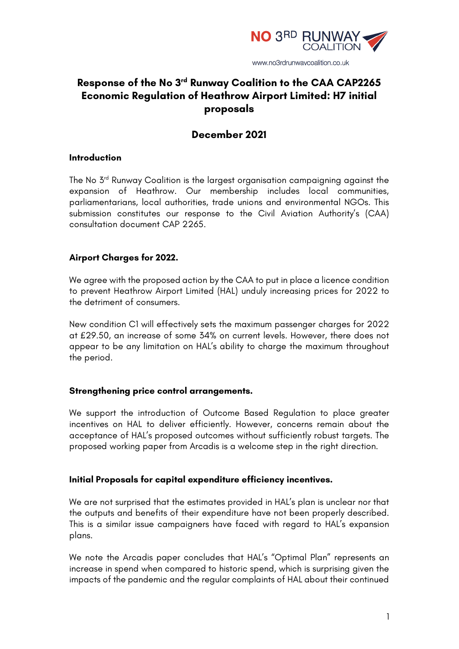

# **Response of the No 3rd Runway Coalition to the CAA CAP2265 Economic Regulation of Heathrow Airport Limited: H7 initial proposals**

# **December 2021**

### **Introduction**

The No 3<sup>rd</sup> Runway Coalition is the largest organisation campaigning against the expansion of Heathrow. Our membership includes local communities, parliamentarians, local authorities, trade unions and environmental NGOs. This submission constitutes our response to the Civil Aviation Authority's (CAA) consultation document CAP 2265.

# **Airport Charges for 2022.**

We agree with the proposed action by the CAA to put in place a licence condition to prevent Heathrow Airport Limited (HAL) unduly increasing prices for 2022 to the detriment of consumers.

New condition C1 will effectively sets the maximum passenger charges for 2022 at £29.50, an increase of some 34% on current levels. However, there does not appear to be any limitation on HAL's ability to charge the maximum throughout the period.

#### **Strengthening price control arrangements.**

We support the introduction of Outcome Based Regulation to place greater incentives on HAL to deliver efficiently. However, concerns remain about the acceptance of HAL's proposed outcomes without sufficiently robust targets. The proposed working paper from Arcadis is a welcome step in the right direction.

#### **Initial Proposals for capital expenditure efficiency incentives.**

We are not surprised that the estimates provided in HAL's plan is unclear nor that the outputs and benefits of their expenditure have not been properly described. This is a similar issue campaigners have faced with regard to HAL's expansion plans.

We note the Arcadis paper concludes that HAL's "Optimal Plan" represents an increase in spend when compared to historic spend, which is surprising given the impacts of the pandemic and the regular complaints of HAL about their continued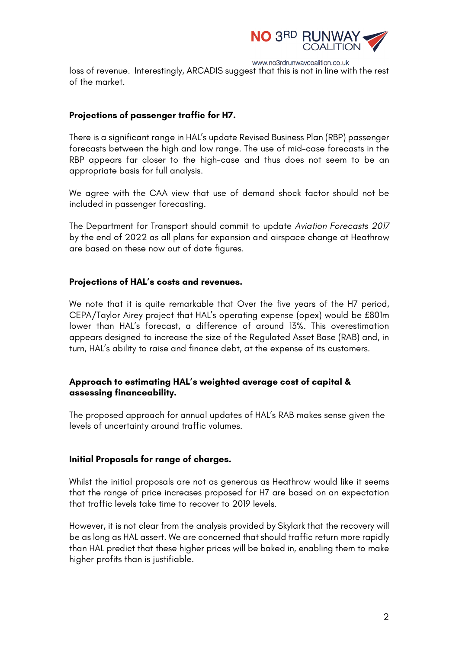

www.no3rdrunwaycoalition.co.uk loss of revenue. Interestingly, ARCADIS suggest that this is not in line with the rest of the market.

# **Projections of passenger traffic for H7.**

There is a significant range in HAL's update Revised Business Plan (RBP) passenger forecasts between the high and low range. The use of mid-case forecasts in the RBP appears far closer to the high-case and thus does not seem to be an appropriate basis for full analysis.

We agree with the CAA view that use of demand shock factor should not be included in passenger forecasting.

The Department for Transport should commit to update *Aviation Forecasts 2017*  by the end of 2022 as all plans for expansion and airspace change at Heathrow are based on these now out of date figures.

### **Projections of HAL's costs and revenues.**

We note that it is quite remarkable that Over the five years of the H7 period, CEPA/Taylor Airey project that HAL's operating expense (opex) would be £801m lower than HAL's forecast, a difference of around 13%. This overestimation appears designed to increase the size of the Regulated Asset Base (RAB) and, in turn, HAL's ability to raise and finance debt, at the expense of its customers.

# **Approach to estimating HAL's weighted average cost of capital & assessing financeability.**

The proposed approach for annual updates of HAL's RAB makes sense given the levels of uncertainty around traffic volumes.

# **Initial Proposals for range of charges.**

Whilst the initial proposals are not as generous as Heathrow would like it seems that the range of price increases proposed for H7 are based on an expectation that traffic levels take time to recover to 2019 levels.

However, it is not clear from the analysis provided by Skylark that the recovery will be as long as HAL assert. We are concerned that should traffic return more rapidly than HAL predict that these higher prices will be baked in, enabling them to make higher profits than is justifiable.